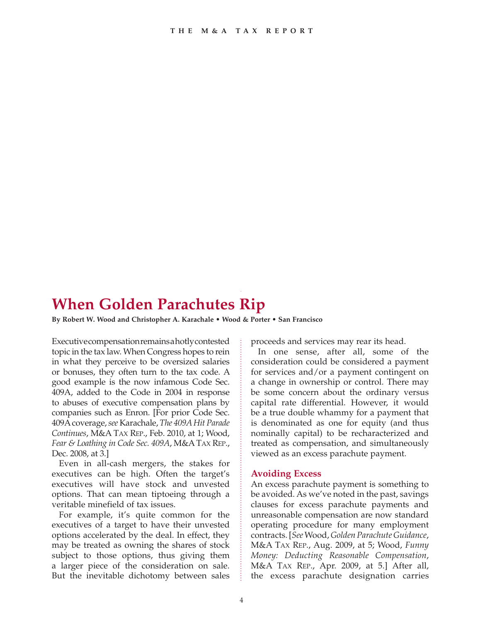# **When Golden Parachutes Rip**

**By Robert W. Wood and Christopher A. Karachale • Wood & Porter • San Francisco**

Executive compensation remains a hotly contested topic in the tax law. When Congress hopes to rein in what they perceive to be oversized salaries or bonuses, they often turn to the tax code. A good example is the now infamous Code Sec. 409A, added to the Code in 2004 in response to abuses of executive compensation plans by companies such as Enron. [For prior Code Sec. 409Acoverage, *see* Karachale, *The 409A Hit Parade Continues*, M&A Tax Rep., Feb. 2010, at 1; Wood, *Fear & Loathing in Code Sec. 409A*, M&ATax Rep., Dec. 2008, at 3.]

Even in all-cash mergers, the stakes for executives can be high. Often the target's executives will have stock and unvested options. That can mean tiptoeing through a veritable minefield of tax issues.

For example, it's quite common for the executives of a target to have their unvested options accelerated by the deal. In effect, they may be treated as owning the shares of stock subject to those options, thus giving them a larger piece of the consideration on sale. But the inevitable dichotomy between sales proceeds and services may rear its head.

In one sense, after all, some of the consideration could be considered a payment for services and/or a payment contingent on a change in ownership or control. There may be some concern about the ordinary versus capital rate differential. However, it would be a true double whammy for a payment that is denominated as one for equity (and thus nominally capital) to be recharacterized and treated as compensation, and simultaneously viewed as an excess parachute payment.

## **Avoiding Excess**

An excess parachute payment is something to be avoided. As we've noted in the past, savings clauses for excess parachute payments and unreasonable compensation are now standard operating procedure for many employment contracts. [*See* Wood, *Golden Parachute Guidance*, M&A Tax Rep., Aug. 2009, at 5; Wood, *Funny Money: Deducting Reasonable Compensation*, M&A Tax Rep., Apr. 2009, at 5.] After all, the excess parachute designation carries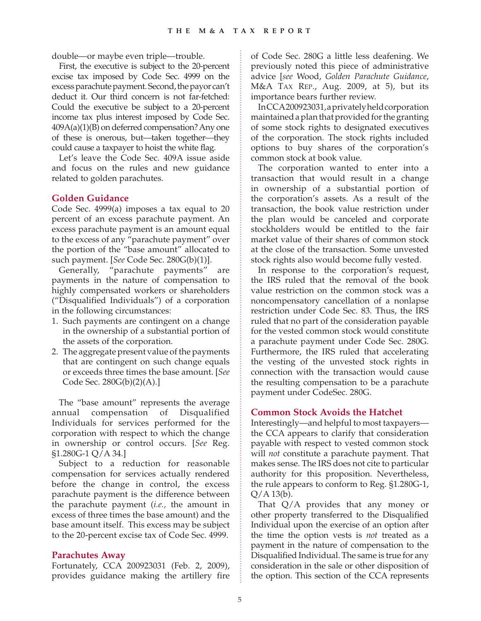double—or maybe even triple—trouble.

First, the executive is subject to the 20-percent excise tax imposed by Code Sec. 4999 on the excess parachute payment. Second, the payor can't deduct it. Our third concern is not far-fetched: Could the executive be subject to a 20-percent income tax plus interest imposed by Code Sec. 409A(a)(1)(B) on deferred compensation? Any one of these is onerous, but—taken together—they could cause a taxpayer to hoist the white flag.

Let's leave the Code Sec. 409A issue aside and focus on the rules and new guidance related to golden parachutes.

## **Golden Guidance**

Code Sec. 4999(a) imposes a tax equal to 20 percent of an excess parachute payment. An excess parachute payment is an amount equal to the excess of any "parachute payment" over the portion of the "base amount" allocated to such payment. [*See* Code Sec. 280G(b)(1)].

Generally, "parachute payments" are payments in the nature of compensation to highly compensated workers or shareholders ("Disqualified Individuals") of a corporation in the following circumstances:

- 1. Such payments are contingent on a change in the ownership of a substantial portion of the assets of the corporation.
- 2. The aggregate present value of the payments that are contingent on such change equals or exceeds three times the base amount. [*See* Code Sec. 280G(b)(2)(A).]

The "base amount" represents the average annual compensation of Disqualified Individuals for services performed for the corporation with respect to which the change in ownership or control occurs. [*See* Reg. §1.280G-1 Q/A 34.]

Subject to a reduction for reasonable compensation for services actually rendered before the change in control, the excess parachute payment is the difference between the parachute payment (*i.e.,* the amount in excess of three times the base amount) and the base amount itself. This excess may be subject to the 20-percent excise tax of Code Sec. 4999.

#### **Parachutes Away**

Fortunately, CCA 200923031 (Feb. 2, 2009), provides guidance making the artillery fire

of Code Sec. 280G a little less deafening. We previously noted this piece of administrative advice [*see* Wood, *Golden Parachute Guidance*, M&A Tax Rep., Aug. 2009, at 5), but its importance bears further review.

In CCA 200923031, a privately held corporation maintained a plan that provided for the granting of some stock rights to designated executives of the corporation. The stock rights included options to buy shares of the corporation's common stock at book value.

The corporation wanted to enter into a transaction that would result in a change in ownership of a substantial portion of the corporation's assets. As a result of the transaction, the book value restriction under the plan would be canceled and corporate stockholders would be entitled to the fair market value of their shares of common stock at the close of the transaction. Some unvested stock rights also would become fully vested.

In response to the corporation's request, the IRS ruled that the removal of the book value restriction on the common stock was a noncompensatory cancellation of a nonlapse restriction under Code Sec. 83. Thus, the IRS ruled that no part of the consideration payable for the vested common stock would constitute a parachute payment under Code Sec. 280G. Furthermore, the IRS ruled that accelerating the vesting of the unvested stock rights in connection with the transaction would cause the resulting compensation to be a parachute payment under CodeSec. 280G.

## **Common Stock Avoids the Hatchet**

Interestingly—and helpful to most taxpayers the CCA appears to clarify that consideration payable with respect to vested common stock will *not* constitute a parachute payment. That makes sense. The IRS does not cite to particular authority for this proposition. Nevertheless, the rule appears to conform to Reg. §1.280G-1,  $O/A$  13(b).

That Q/A provides that any money or other property transferred to the Disqualified Individual upon the exercise of an option after the time the option vests is *not* treated as a payment in the nature of compensation to the Disqualified Individual. The same is true for any consideration in the sale or other disposition of the option. This section of the CCA represents